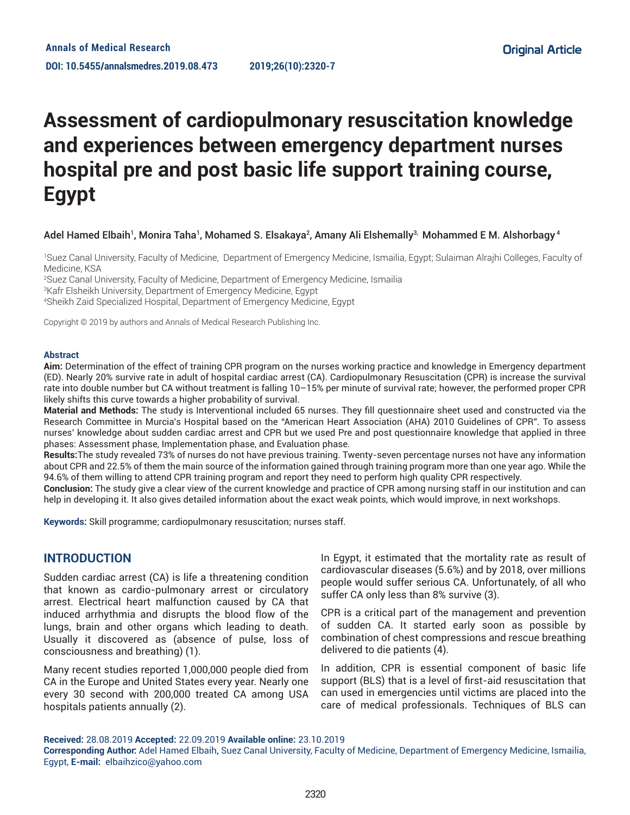# **Assessment of cardiopulmonary resuscitation knowledge and experiences between emergency department nurses hospital pre and post basic life support training course, Egypt**

## Adel Hamed Elbaih<sup>1</sup>, Monira Taha<sup>1</sup>, Mohamed S. Elsakaya², Amany Ali Elshemally<sup>3,</sup> Mohammed E M. Alshorbagy <sup>4</sup>

1 Suez Canal University, Faculty of Medicine, Department of Emergency Medicine, Ismailia, Egypt; Sulaiman Alrajhi Colleges, Faculty of Medicine, KSA

2 Suez Canal University, Faculty of Medicine, Department of Emergency Medicine, Ismailia

3 Kafr Elsheikh University, Department of Emergency Medicine, Egypt

4 Sheikh Zaid Specialized Hospital, Department of Emergency Medicine, Egypt

Copyright © 2019 by authors and Annals of Medical Research Publishing Inc.

#### **Abstract**

**Aim:** Determination of the effect of training CPR program on the nurses working practice and knowledge in Emergency department (ED). Nearly 20% survive rate in adult of hospital cardiac arrest (CA). Cardiopulmonary Resuscitation (CPR) is increase the survival rate into double number but CA without treatment is falling 10–15% per minute of survival rate; however, the performed proper CPR likely shifts this curve towards a higher probability of survival.

**Material and Methods:** The study is Interventional included 65 nurses. They fill questionnaire sheet used and constructed via the Research Committee in Murcia's Hospital based on the "American Heart Association (AHA) 2010 Guidelines of CPR". To assess nurses' knowledge about sudden cardiac arrest and CPR but we used Pre and post questionnaire knowledge that applied in three phases: Assessment phase, Implementation phase, and Evaluation phase.

**Results:**The study revealed 73% of nurses do not have previous training. Twenty-seven percentage nurses not have any information about CPR and 22.5% of them the main source of the information gained through training program more than one year ago. While the 94.6% of them willing to attend CPR training program and report they need to perform high quality CPR respectively.

**Conclusion:** The study give a clear view of the current knowledge and practice of CPR among nursing staff in our institution and can help in developing it. It also gives detailed information about the exact weak points, which would improve, in next workshops.

**Keywords:** Skill programme; cardiopulmonary resuscitation; nurses staff.

# **INTRODUCTION**

Sudden cardiac arrest (CA) is life a threatening condition that known as cardio-pulmonary arrest or circulatory arrest. Electrical heart malfunction caused by CA that induced arrhythmia and disrupts the blood flow of the lungs, brain and other organs which leading to death. Usually it discovered as (absence of pulse, loss of consciousness and breathing) (1).

Many recent studies reported 1,000,000 people died from CA in the Europe and United States every year. Nearly one every 30 second with 200,000 treated CA among USA hospitals patients annually (2).

In Egypt, it estimated that the mortality rate as result of cardiovascular diseases (5.6%) and by 2018, over millions people would suffer serious CA. Unfortunately, of all who suffer CA only less than 8% survive (3).

CPR is a critical part of the management and prevention of sudden CA. It started early soon as possible by combination of chest compressions and rescue breathing delivered to die patients (4).

In addition, CPR is essential component of basic life support (BLS) that is a level of first-aid resuscitation that can used in emergencies until victims are placed into the care of medical professionals. Techniques of BLS can

**Received:** 28.08.2019 **Accepted:** 22.09.2019 **Available online:** 23.10.2019

**Corresponding Author:** Adel Hamed Elbaih, Suez Canal University, Faculty of Medicine, Department of Emergency Medicine, Ismailia, Egypt, **E-mail:** elbaihzico@yahoo.com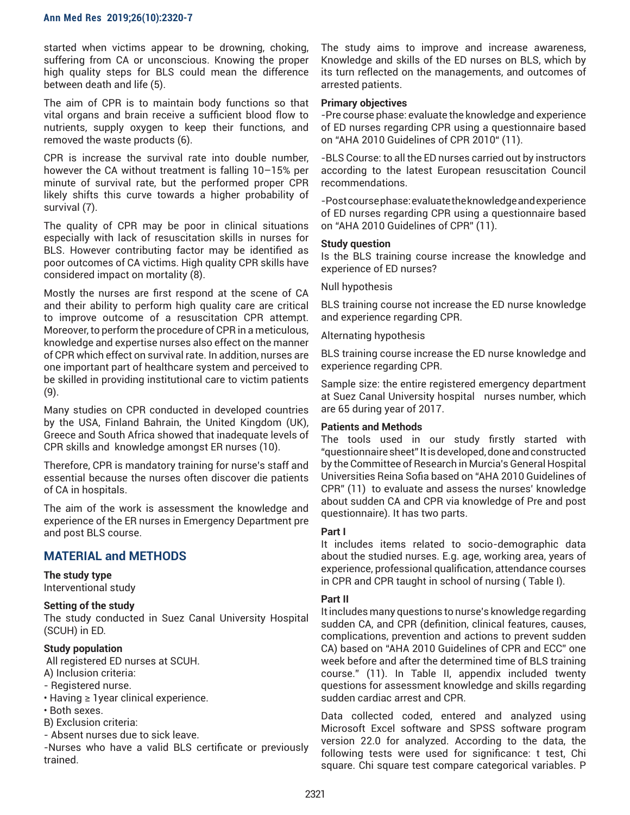started when victims appear to be drowning, choking, suffering from CA or unconscious. Knowing the proper high quality steps for BLS could mean the difference between death and life (5).

The aim of CPR is to maintain body functions so that vital organs and brain receive a sufficient blood flow to nutrients, supply oxygen to keep their functions, and removed the waste products (6).

CPR is increase the survival rate into double number, however the CA without treatment is falling 10–15% per minute of survival rate, but the performed proper CPR likely shifts this curve towards a higher probability of survival (7).

The quality of CPR may be poor in clinical situations especially with lack of resuscitation skills in nurses for BLS. However contributing factor may be identified as poor outcomes of CA victims. High quality CPR skills have considered impact on mortality (8).

Mostly the nurses are first respond at the scene of CA and their ability to perform high quality care are critical to improve outcome of a resuscitation CPR attempt. Moreover, to perform the procedure of CPR in a meticulous, knowledge and expertise nurses also effect on the manner of CPR which effect on survival rate. In addition, nurses are one important part of healthcare system and perceived to be skilled in providing institutional care to victim patients (9).

Many studies on CPR conducted in developed countries by the USA, Finland Bahrain, the United Kingdom (UK), Greece and South Africa showed that inadequate levels of CPR skills and knowledge amongst ER nurses (10).

Therefore, CPR is mandatory training for nurse's staff and essential because the nurses often discover die patients of CA in hospitals.

The aim of the work is assessment the knowledge and experience of the ER nurses in Emergency Department pre and post BLS course.

# **MATERIAL and METHODS**

# **The study type**

Interventional study

# **Setting of the study**

The study conducted in Suez Canal University Hospital (SCUH) in ED.

## **Study population**

 All registered ED nurses at SCUH. A) Inclusion criteria:

- Registered nurse.
- Having ≥ 1year clinical experience.
- Both sexes.
- B) Exclusion criteria:
- Absent nurses due to sick leave.

-Nurses who have a valid BLS certificate or previously trained.

The study aims to improve and increase awareness, Knowledge and skills of the ED nurses on BLS, which by its turn reflected on the managements, and outcomes of arrested patients.

#### **Primary objectives**

-Pre course phase: evaluate the knowledge and experience of ED nurses regarding CPR using a questionnaire based on "AHA 2010 Guidelines of CPR 2010" (11).

-BLS Course: to all the ED nurses carried out by instructors according to the latest European resuscitation Council recommendations.

-Post course phase: evaluate the knowledge and experience of ED nurses regarding CPR using a questionnaire based on "AHA 2010 Guidelines of CPR" (11).

#### **Study question**

Is the BLS training course increase the knowledge and experience of ED nurses?

Null hypothesis

BLS training course not increase the ED nurse knowledge and experience regarding CPR.

#### Alternating hypothesis

BLS training course increase the ED nurse knowledge and experience regarding CPR.

Sample size: the entire registered emergency department at Suez Canal University hospital nurses number, which are 65 during year of 2017.

#### **Patients and Methods**

The tools used in our study firstly started with "questionnaire sheet" It is developed, done and constructed by the Committee of Research in Murcia's General Hospital Universities Reina Sofia based on "AHA 2010 Guidelines of CPR" (11) to evaluate and assess the nurses' knowledge about sudden CA and CPR via knowledge of Pre and post questionnaire). It has two parts.

#### **Part I**

It includes items related to socio-demographic data about the studied nurses. E.g. age, working area, years of experience, professional qualification, attendance courses in CPR and CPR taught in school of nursing ( Table I).

## **Part II**

It includes many questions to nurse's knowledge regarding sudden CA, and CPR (definition, clinical features, causes, complications, prevention and actions to prevent sudden CA) based on "AHA 2010 Guidelines of CPR and ECC" one week before and after the determined time of BLS training course." (11). In Table II, appendix included twenty questions for assessment knowledge and skills regarding sudden cardiac arrest and CPR.

Data collected coded, entered and analyzed using Microsoft Excel software and SPSS software program version 22.0 for analyzed. According to the data, the following tests were used for significance: t test, Chi square. Chi square test compare categorical variables. P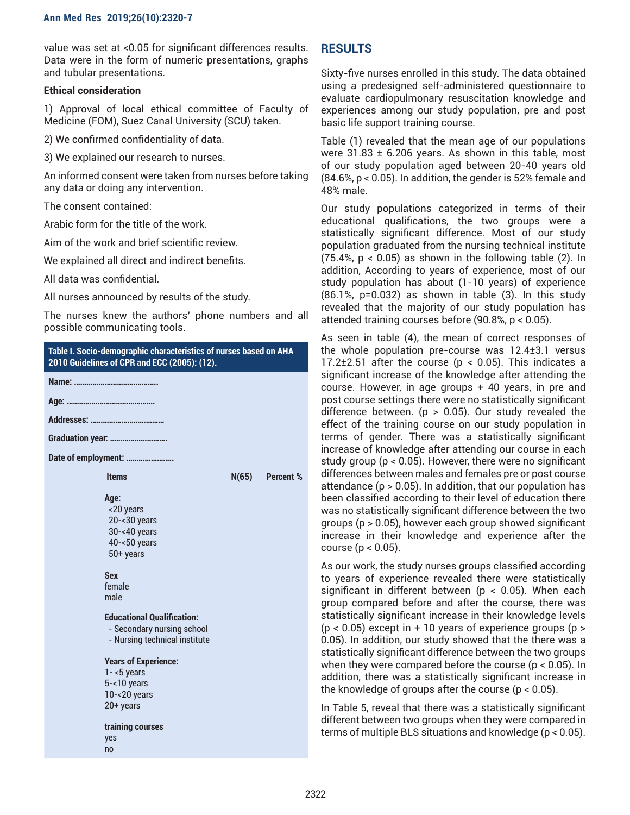value was set at <0.05 for significant differences results. Data were in the form of numeric presentations, graphs and tubular presentations.

## **Ethical consideration**

1) Approval of local ethical committee of Faculty of Medicine (FOM), Suez Canal University (SCU) taken.

2) We confirmed confidentiality of data.

3) We explained our research to nurses.

An informed consent were taken from nurses before taking any data or doing any intervention.

The consent contained:

Arabic form for the title of the work.

Aim of the work and brief scientific review.

We explained all direct and indirect benefits.

All data was confidential.

All nurses announced by results of the study.

The nurses knew the authors' phone numbers and all possible communicating tools.



# **RESULTS**

Sixty-five nurses enrolled in this study. The data obtained using a predesigned self-administered questionnaire to evaluate cardiopulmonary resuscitation knowledge and experiences among our study population, pre and post basic life support training course.

Table (1) revealed that the mean age of our populations were  $31.83 \pm 6.206$  years. As shown in this table, most of our study population aged between 20-40 years old (84.6%, p < 0.05). In addition, the gender is 52% female and 48% male.

Our study populations categorized in terms of their educational qualifications, the two groups were a statistically significant difference. Most of our study population graduated from the nursing technical institute  $(75.4\% , p < 0.05)$  as shown in the following table  $(2)$ . In addition, According to years of experience, most of our study population has about (1-10 years) of experience (86.1%, p=0.032) as shown in table (3). In this study revealed that the majority of our study population has attended training courses before (90.8%, p < 0.05).

As seen in table (4), the mean of correct responses of the whole population pre-course was 12.4±3.1 versus 17.2 $\pm$ 2.51 after the course ( $p < 0.05$ ). This indicates a significant increase of the knowledge after attending the course. However, in age groups + 40 years, in pre and post course settings there were no statistically significant difference between. ( $p > 0.05$ ). Our study revealed the effect of the training course on our study population in terms of gender. There was a statistically significant increase of knowledge after attending our course in each study group (p < 0.05). However, there were no significant differences between males and females pre or post course attendance  $(p > 0.05)$ . In addition, that our population has been classified according to their level of education there was no statistically significant difference between the two groups (p > 0.05), however each group showed significant increase in their knowledge and experience after the course  $(p < 0.05)$ .

As our work, the study nurses groups classified according to years of experience revealed there were statistically significant in different between ( $p < 0.05$ ). When each group compared before and after the course, there was statistically significant increase in their knowledge levels  $(p < 0.05)$  except in + 10 years of experience groups  $(p > 0.05)$ 0.05). In addition, our study showed that the there was a statistically significant difference between the two groups when they were compared before the course (p < 0.05). In addition, there was a statistically significant increase in the knowledge of groups after the course  $(p < 0.05)$ .

In Table 5, reveal that there was a statistically significant different between two groups when they were compared in terms of multiple BLS situations and knowledge (p < 0.05).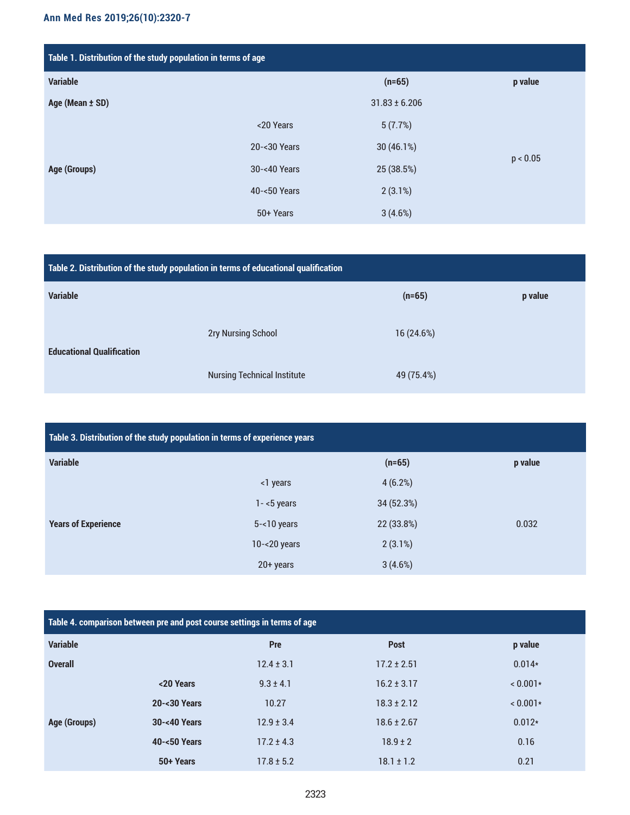| Table 1. Distribution of the study population in terms of age |              |                   |          |  |
|---------------------------------------------------------------|--------------|-------------------|----------|--|
| <b>Variable</b>                                               |              | $(n=65)$          | p value  |  |
| Age (Mean ± SD)                                               |              | $31.83 \pm 6.206$ |          |  |
|                                                               | <20 Years    | 5(7.7%)           |          |  |
|                                                               | 20-<30 Years | 30(46.1%)         | p < 0.05 |  |
| Age (Groups)                                                  | 30-<40 Years | 25 (38.5%)        |          |  |
|                                                               | 40-<50 Years | $2(3.1\%)$        |          |  |
|                                                               | 50+ Years    | 3(4.6%)           |          |  |

| Table 2. Distribution of the study population in terms of educational qualification |                                    |            |         |  |
|-------------------------------------------------------------------------------------|------------------------------------|------------|---------|--|
| <b>Variable</b>                                                                     |                                    | $(n=65)$   | p value |  |
| <b>Educational Qualification</b>                                                    | <b>2ry Nursing School</b>          | 16 (24.6%) |         |  |
|                                                                                     | <b>Nursing Technical Institute</b> | 49 (75.4%) |         |  |

| Table 3. Distribution of the study population in terms of experience years |                 |            |         |
|----------------------------------------------------------------------------|-----------------|------------|---------|
| <b>Variable</b>                                                            |                 | $(n=65)$   | p value |
|                                                                            | <1 years        | 4(6.2%)    |         |
|                                                                            | $1 - 5$ years   | 34 (52.3%) |         |
| <b>Years of Experience</b>                                                 | $5 - 10$ years  | 22 (33.8%) | 0.032   |
|                                                                            | $10 - 20$ years | $2(3.1\%)$ |         |
|                                                                            | 20+ years       | 3(4.6%)    |         |

| Table 4. comparison between pre and post course settings in terms of age |              |                |                 |          |  |
|--------------------------------------------------------------------------|--------------|----------------|-----------------|----------|--|
| <b>Variable</b>                                                          |              | Pre            | <b>Post</b>     | p value  |  |
| <b>Overall</b>                                                           |              | $12.4 \pm 3.1$ | $17.2 \pm 2.51$ | $0.014*$ |  |
|                                                                          | <20 Years    | $9.3 \pm 4.1$  | $16.2 \pm 3.17$ | $0.001*$ |  |
|                                                                          | 20-<30 Years | 10.27          | $18.3 \pm 2.12$ | $0.001*$ |  |
| Age (Groups)                                                             | 30-<40 Years | $12.9 \pm 3.4$ | $18.6 \pm 2.67$ | $0.012*$ |  |
|                                                                          | 40-<50 Years | $17.2 \pm 4.3$ | $18.9 \pm 2$    | 0.16     |  |
|                                                                          | 50+ Years    | $17.8 \pm 5.2$ | $18.1 \pm 1.2$  | 0.21     |  |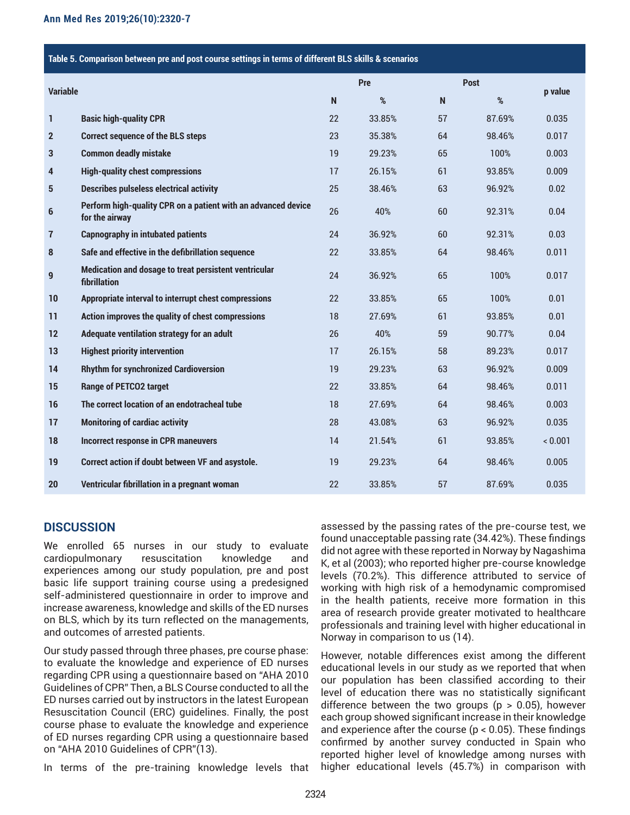#### **Table 5. Comparison between pre and post course settings in terms of different BLS skills & scenarios**

| <b>Variable</b> |                                                                                 |    | Pre    |              | <b>Post</b> |         |
|-----------------|---------------------------------------------------------------------------------|----|--------|--------------|-------------|---------|
|                 |                                                                                 |    | $\%$   | $\mathsf{N}$ | $\%$        | p value |
| 1               | <b>Basic high-quality CPR</b>                                                   | 22 | 33.85% | 57           | 87.69%      | 0.035   |
| $\mathbf{2}$    | <b>Correct sequence of the BLS steps</b>                                        | 23 | 35.38% | 64           | 98.46%      | 0.017   |
| 3               | <b>Common deadly mistake</b>                                                    | 19 | 29.23% | 65           | 100%        | 0.003   |
| 4               | <b>High-quality chest compressions</b>                                          | 17 | 26.15% | 61           | 93.85%      | 0.009   |
| 5               | <b>Describes pulseless electrical activity</b>                                  | 25 | 38.46% | 63           | 96.92%      | 0.02    |
| 6               | Perform high-quality CPR on a patient with an advanced device<br>for the airway | 26 | 40%    | 60           | 92.31%      | 0.04    |
| $\overline{1}$  | <b>Capnography in intubated patients</b>                                        | 24 | 36.92% | 60           | 92.31%      | 0.03    |
| 8               | Safe and effective in the defibrillation sequence                               | 22 | 33.85% | 64           | 98.46%      | 0.011   |
| 9               | Medication and dosage to treat persistent ventricular<br>fibrillation           | 24 | 36.92% | 65           | 100%        | 0.017   |
| 10              | Appropriate interval to interrupt chest compressions                            | 22 | 33.85% | 65           | 100%        | 0.01    |
| 11              | Action improves the quality of chest compressions                               | 18 | 27.69% | 61           | 93.85%      | 0.01    |
| 12              | Adequate ventilation strategy for an adult                                      | 26 | 40%    | 59           | 90.77%      | 0.04    |
| 13              | <b>Highest priority intervention</b>                                            | 17 | 26.15% | 58           | 89.23%      | 0.017   |
| 14              | <b>Rhythm for synchronized Cardioversion</b>                                    | 19 | 29.23% | 63           | 96.92%      | 0.009   |
| 15              | <b>Range of PETCO2 target</b>                                                   | 22 | 33.85% | 64           | 98.46%      | 0.011   |
| 16              | The correct location of an endotracheal tube                                    | 18 | 27.69% | 64           | 98.46%      | 0.003   |
| 17              | <b>Monitoring of cardiac activity</b>                                           | 28 | 43.08% | 63           | 96.92%      | 0.035   |
| 18              | <b>Incorrect response in CPR maneuvers</b>                                      | 14 | 21.54% | 61           | 93.85%      | < 0.001 |
| 19              | Correct action if doubt between VF and asystole.                                | 19 | 29.23% | 64           | 98.46%      | 0.005   |
| 20              | Ventricular fibrillation in a pregnant woman                                    | 22 | 33.85% | 57           | 87.69%      | 0.035   |

# **DISCUSSION**

We enrolled 65 nurses in our study to evaluate cardiopulmonary resuscitation knowledge and experiences among our study population, pre and post basic life support training course using a predesigned self-administered questionnaire in order to improve and increase awareness, knowledge and skills of the ED nurses on BLS, which by its turn reflected on the managements, and outcomes of arrested patients.

Our study passed through three phases, pre course phase: to evaluate the knowledge and experience of ED nurses regarding CPR using a questionnaire based on "AHA 2010 Guidelines of CPR" Then, a BLS Course conducted to all the ED nurses carried out by instructors in the latest European Resuscitation Council (ERC) guidelines. Finally, the post course phase to evaluate the knowledge and experience of ED nurses regarding CPR using a questionnaire based on "AHA 2010 Guidelines of CPR"(13).

In terms of the pre-training knowledge levels that

assessed by the passing rates of the pre-course test, we found unacceptable passing rate (34.42%). These findings did not agree with these reported in Norway by Nagashima K, et al (2003); who reported higher pre-course knowledge levels (70.2%). This difference attributed to service of working with high risk of a hemodynamic compromised in the health patients, receive more formation in this area of research provide greater motivated to healthcare professionals and training level with higher educational in Norway in comparison to us (14).

However, notable differences exist among the different educational levels in our study as we reported that when our population has been classified according to their level of education there was no statistically significant difference between the two groups ( $p > 0.05$ ), however each group showed significant increase in their knowledge and experience after the course ( $p < 0.05$ ). These findings confirmed by another survey conducted in Spain who reported higher level of knowledge among nurses with higher educational levels (45.7%) in comparison with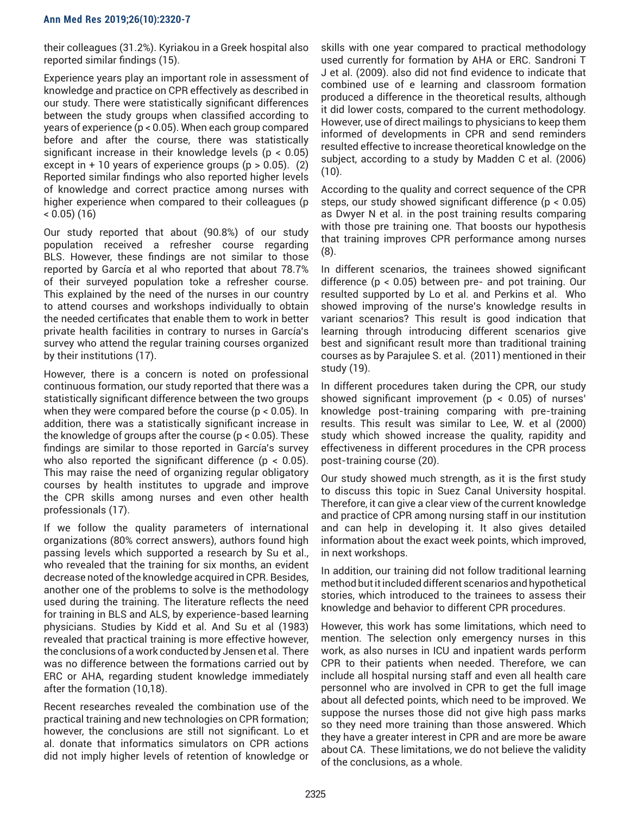their colleagues (31.2%). Kyriakou in a Greek hospital also reported similar findings (15).

Experience years play an important role in assessment of knowledge and practice on CPR effectively as described in our study. There were statistically significant differences between the study groups when classified according to years of experience (p < 0.05). When each group compared before and after the course, there was statistically significant increase in their knowledge levels (p < 0.05) except in  $+10$  years of experience groups ( $p > 0.05$ ). (2) Reported similar findings who also reported higher levels of knowledge and correct practice among nurses with higher experience when compared to their colleagues (p  $(16)$ 

Our study reported that about (90.8%) of our study population received a refresher course regarding BLS. However, these findings are not similar to those reported by García et al who reported that about 78.7% of their surveyed population toke a refresher course. This explained by the need of the nurses in our country to attend courses and workshops individually to obtain the needed certificates that enable them to work in better private health facilities in contrary to nurses in García's survey who attend the regular training courses organized by their institutions (17).

However, there is a concern is noted on professional continuous formation, our study reported that there was a statistically significant difference between the two groups when they were compared before the course (p < 0.05). In addition, there was a statistically significant increase in the knowledge of groups after the course (p < 0.05). These findings are similar to those reported in García's survey who also reported the significant difference ( $p < 0.05$ ). This may raise the need of organizing regular obligatory courses by health institutes to upgrade and improve the CPR skills among nurses and even other health professionals (17).

If we follow the quality parameters of international organizations (80% correct answers), authors found high passing levels which supported a research by Su et al., who revealed that the training for six months, an evident decrease noted of the knowledge acquired in CPR. Besides, another one of the problems to solve is the methodology used during the training. The literature reflects the need for training in BLS and ALS, by experience-based learning physicians. Studies by Kidd et al. And Su et al (1983) revealed that practical training is more effective however, the conclusions of a work conducted by Jensen et al. There was no difference between the formations carried out by ERC or AHA, regarding student knowledge immediately after the formation (10,18).

Recent researches revealed the combination use of the practical training and new technologies on CPR formation; however, the conclusions are still not significant. Lo et al. donate that informatics simulators on CPR actions did not imply higher levels of retention of knowledge or skills with one year compared to practical methodology used currently for formation by AHA or ERC. Sandroni T J et al. (2009). also did not find evidence to indicate that combined use of e learning and classroom formation produced a difference in the theoretical results, although it did lower costs, compared to the current methodology. However, use of direct mailings to physicians to keep them informed of developments in CPR and send reminders resulted effective to increase theoretical knowledge on the subject, according to a study by Madden C et al. (2006)  $(10).$ 

According to the quality and correct sequence of the CPR steps, our study showed significant difference (p < 0.05) as Dwyer N et al. in the post training results comparing with those pre training one. That boosts our hypothesis that training improves CPR performance among nurses (8).

In different scenarios, the trainees showed significant difference (p < 0.05) between pre- and pot training. Our resulted supported by Lo et al. and Perkins et al. Who showed improving of the nurse's knowledge results in variant scenarios? This result is good indication that learning through introducing different scenarios give best and significant result more than traditional training courses as by Parajulee S. et al. (2011) mentioned in their study (19).

In different procedures taken during the CPR, our study showed significant improvement ( $p < 0.05$ ) of nurses' knowledge post-training comparing with pre-training results. This result was similar to Lee, W. et al (2000) study which showed increase the quality, rapidity and effectiveness in different procedures in the CPR process post-training course (20).

Our study showed much strength, as it is the first study to discuss this topic in Suez Canal University hospital. Therefore, it can give a clear view of the current knowledge and practice of CPR among nursing staff in our institution and can help in developing it. It also gives detailed information about the exact week points, which improved, in next workshops.

In addition, our training did not follow traditional learning method but it included different scenarios and hypothetical stories, which introduced to the trainees to assess their knowledge and behavior to different CPR procedures.

However, this work has some limitations, which need to mention. The selection only emergency nurses in this work, as also nurses in ICU and inpatient wards perform CPR to their patients when needed. Therefore, we can include all hospital nursing staff and even all health care personnel who are involved in CPR to get the full image about all defected points, which need to be improved. We suppose the nurses those did not give high pass marks so they need more training than those answered. Which they have a greater interest in CPR and are more be aware about CA. These limitations, we do not believe the validity of the conclusions, as a whole.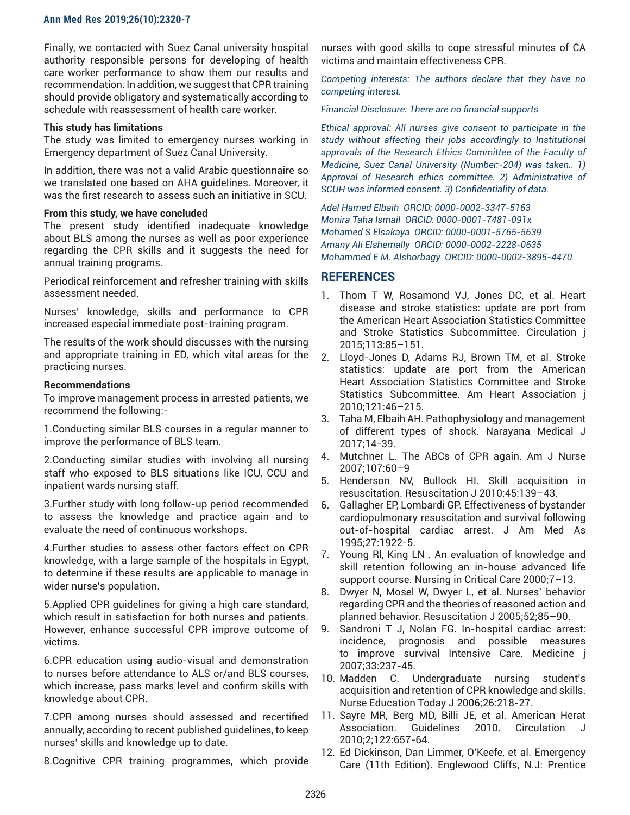Finally, we contacted with Suez Canal university hospital authority responsible persons for developing of health care worker performance to show them our results and recommendation. In addition, we suggest that CPR training should provide obligatory and systematically according to schedule with reassessment of health care worker.

#### **This study has limitations**

The study was limited to emergency nurses working in Emergency department of Suez Canal University.

In addition, there was not a valid Arabic questionnaire so we translated one based on AHA guidelines. Moreover, it was the first research to assess such an initiative in SCU.

#### **From this study, we have concluded**

The present study identified inadequate knowledge about BLS among the nurses as well as poor experience regarding the CPR skills and it suggests the need for annual training programs.

Periodical reinforcement and refresher training with skills assessment needed.

Nurses' knowledge, skills and performance to CPR increased especial immediate post-training program.

The results of the work should discusses with the nursing and appropriate training in ED, which vital areas for the practicing nurses.

#### **Recommendations**

To improve management process in arrested patients, we recommend the following:-

1.Conducting similar BLS courses in a regular manner to improve the performance of BLS team.

2.Conducting similar studies with involving all nursing staff who exposed to BLS situations like ICU, CCU and inpatient wards nursing staff.

3.Further study with long follow-up period recommended to assess the knowledge and practice again and to evaluate the need of continuous workshops.

4.Further studies to assess other factors effect on CPR knowledge, with a large sample of the hospitals in Egypt, to determine if these results are applicable to manage in wider nurse's population.

5.Applied CPR guidelines for giving a high care standard, which result in satisfaction for both nurses and patients. However, enhance successful CPR improve outcome of victims.

6.CPR education using audio-visual and demonstration to nurses before attendance to ALS or/and BLS courses, which increase, pass marks level and confirm skills with knowledge about CPR.

7.CPR among nurses should assessed and recertified annually, according to recent published guidelines, to keep nurses' skills and knowledge up to date.

8.Cognitive CPR training programmes, which provide

nurses with good skills to cope stressful minutes of CA victims and maintain effectiveness CPR.

*Competing interests: The authors declare that they have no competing interest.* 

*Financial Disclosure: There are no financial supports* 

*Ethical approval: All nurses give consent to participate in the study without affecting their jobs accordingly to Institutional approvals of the Research Ethics Committee of the Faculty of Medicine, Suez Canal University (Number:-204) was taken.. 1) Approval of Research ethics committee. 2) Administrative of SCUH was informed consent. 3) Confidentiality of data.*

*Adel Hamed Elbaih ORCID: 0000-0002-3347-5163 Monira Taha Ismail ORCID: 0000-0001-7481-091x Mohamed S Elsakaya ORCID: 0000-0001-5765-5639 Amany Ali Elshemally ORCID: 0000-0002-2228-0635 Mohammed E M. Alshorbagy ORCID: 0000-0002-3895-4470*

# **REFERENCES**

- 1. Thom T W, Rosamond VJ, Jones DC, et al. Heart disease and stroke statistics: update are port from the American Heart Association Statistics Committee and Stroke Statistics Subcommittee. Circulation j 2015;113:85–151.
- 2. Lloyd-Jones D, Adams RJ, Brown TM, et al. Stroke statistics: update are port from the American Heart Association Statistics Committee and Stroke Statistics Subcommittee. Am Heart Association j 2010;121:46–215.
- 3. Taha M, Elbaih AH. Pathophysiology and management of different types of shock. Narayana Medical J 2017;14-39.
- 4. Mutchner L. The ABCs of CPR again. Am J Nurse 2007;107:60–9
- 5. Henderson NV, Bullock HI. Skill acquisition in resuscitation. Resuscitation J 2010;45:139–43.
- 6. Gallagher EP, Lombardi GP. Effectiveness of bystander cardiopulmonary resuscitation and survival following out-of-hospital cardiac arrest. J Am Med As 1995;27:1922-5.
- 7. Young Rl, King LN . An evaluation of knowledge and skill retention following an in-house advanced life support course. Nursing in Critical Care 2000;7–13.
- 8. Dwyer N, Mosel W, Dwyer L, et al. Nurses' behavior regarding CPR and the theories of reasoned action and planned behavior. Resuscitation J 2005;52;85–90.
- 9. Sandroni T J, Nolan FG. In-hospital cardiac arrest: incidence, prognosis and possible measures to improve survival Intensive Care. Medicine j 2007;33:237-45.
- 10. Madden C. Undergraduate nursing student's acquisition and retention of CPR knowledge and skills. Nurse Education Today J 2006;26:218-27.
- 11. Sayre MR, Berg MD, Billi JE, et al. American Herat Association. Guidelines 2010. Circulation 2010;2;122:657-64.
- 12. Ed Dickinson, Dan Limmer, O'Keefe, et al. Emergency Care (11th Edition). Englewood Cliffs, N.J: Prentice